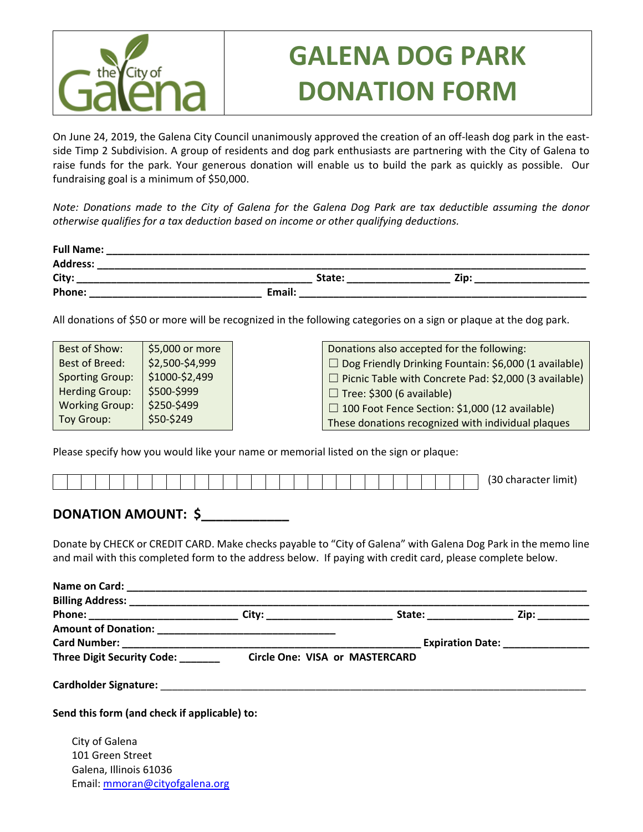

## **GALENA DOG PARK DONATION FORM**

On June 24, 2019, the Galena City Council unanimously approved the creation of an off-leash dog park in the eastside Timp 2 Subdivision. A group of residents and dog park enthusiasts are partnering with the City of Galena to raise funds for the park. Your generous donation will enable us to build the park as quickly as possible. Our fundraising goal is a minimum of \$50,000.

*Note: Donations made to the City of Galena for the Galena Dog Park are tax deductible assuming the donor otherwise qualifies for a tax deduction based on income or other qualifying deductions.* 

| <b>Full Name:</b> |        |      |
|-------------------|--------|------|
| <b>Address:</b>   |        |      |
| City:             | State: | Zip: |
| Phone:            | Email: |      |

All donations of \$50 or more will be recognized in the following categories on a sign or plaque at the dog park.

| Best of Show:          | \$5,000 or more | Donations also accepted for the following:                   |
|------------------------|-----------------|--------------------------------------------------------------|
| <b>Best of Breed:</b>  | \$2,500-\$4,999 | $\Box$ Dog Friendly Drinking Fountain: \$6,000 (1 available) |
| <b>Sporting Group:</b> | \$1000-\$2,499  | $\Box$ Picnic Table with Concrete Pad: \$2,000 (3 available) |
| <b>Herding Group:</b>  | \$500-\$999     | $\Box$ Tree: \$300 (6 available)                             |
| <b>Working Group:</b>  | \$250-\$499     | $\Box$ 100 Foot Fence Section: \$1,000 (12 available)        |
| Toy Group:             | \$50-\$249      | These donations recognized with individual plaques           |

Please specify how you would like your name or memorial listed on the sign or plaque:

|  |  |  |  |  |  |  |  |  |  |  |  |  |  |  |  |  |  |  |  |  |  |  |  |  |  |  |  |  |  | $\sim$<br>limit)<br>:naracter<br>יי |
|--|--|--|--|--|--|--|--|--|--|--|--|--|--|--|--|--|--|--|--|--|--|--|--|--|--|--|--|--|--|-------------------------------------|
|--|--|--|--|--|--|--|--|--|--|--|--|--|--|--|--|--|--|--|--|--|--|--|--|--|--|--|--|--|--|-------------------------------------|

## **DONATION AMOUNT: \$**

Donate by CHECK or CREDIT CARD. Make checks payable to "City of Galena" with Galena Dog Park in the memo line and mail with this completed form to the address below. If paying with credit card, please complete below.

|                                   |                                | State: _________________ | Zip: _________                    |
|-----------------------------------|--------------------------------|--------------------------|-----------------------------------|
|                                   |                                |                          |                                   |
|                                   |                                |                          | Expiration Date: ________________ |
| Three Digit Security Code: ______ | Circle One: VISA or MASTERCARD |                          |                                   |
|                                   |                                |                          |                                   |

City of Galena 101 Green Street Galena, Illinois 61036 Email: mmoran@cityofgalena.org